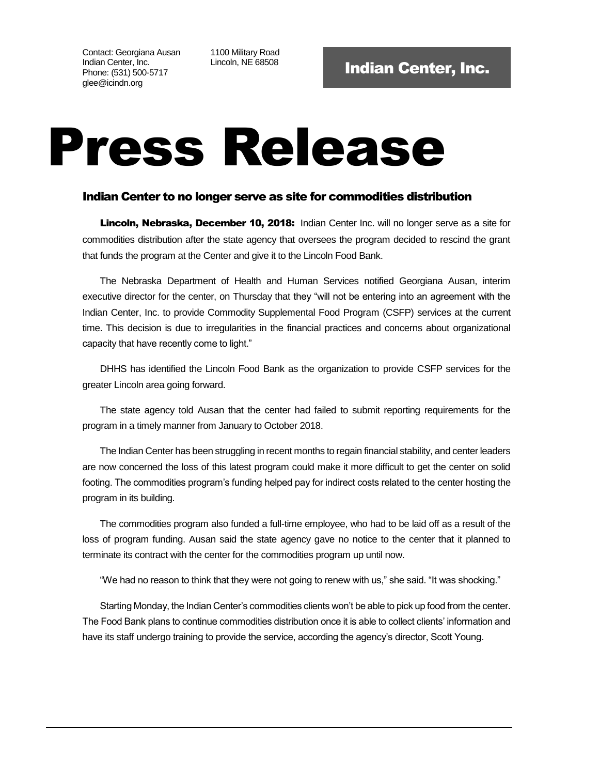Contact: Georgiana Ausan Indian Center, Inc. Phone: (531) 500-5717 glee@icindn.org

1100 Military Road

## Press Release

## Indian Center to no longer serve as site for commodities distribution

Lincoln, Nebraska, December 10, 2018: Indian Center Inc. will no longer serve as a site for commodities distribution after the state agency that oversees the program decided to rescind the grant that funds the program at the Center and give it to the Lincoln Food Bank.

The Nebraska Department of Health and Human Services notified Georgiana Ausan, interim executive director for the center, on Thursday that they "will not be entering into an agreement with the Indian Center, Inc. to provide Commodity Supplemental Food Program (CSFP) services at the current time. This decision is due to irregularities in the financial practices and concerns about organizational capacity that have recently come to light."

DHHS has identified the Lincoln Food Bank as the organization to provide CSFP services for the greater Lincoln area going forward.

The state agency told Ausan that the center had failed to submit reporting requirements for the program in a timely manner from January to October 2018.

The Indian Center has been struggling in recent months to regain financial stability, and center leaders are now concerned the loss of this latest program could make it more difficult to get the center on solid footing. The commodities program's funding helped pay for indirect costs related to the center hosting the program in its building.

The commodities program also funded a full-time employee, who had to be laid off as a result of the loss of program funding. Ausan said the state agency gave no notice to the center that it planned to terminate its contract with the center for the commodities program up until now.

"We had no reason to think that they were not going to renew with us," she said. "It was shocking."

Starting Monday, the Indian Center's commodities clients won't be able to pick up food from the center. The Food Bank plans to continue commodities distribution once it is able to collect clients' information and have its staff undergo training to provide the service, according the agency's director, Scott Young.